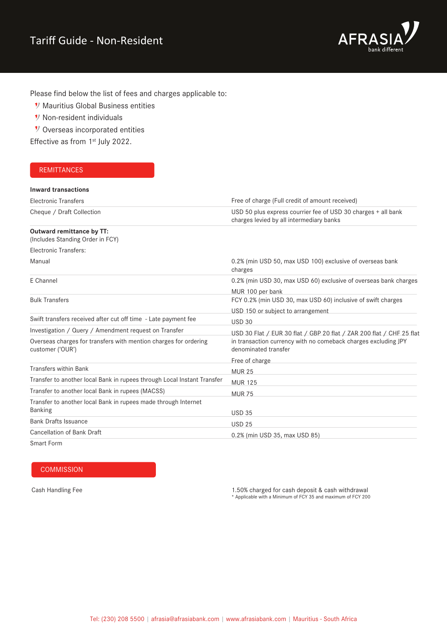

Please find below the list of fees and charges applicable to:

- **V** Mauritius Global Business entities
- *Non-resident individuals*
- V Overseas incorporated entities

Effective as from 1<sup>st</sup> July 2022.

## **REMITTANCES**

| <b>Inward transactions</b>                                                           |                                                                                                           |
|--------------------------------------------------------------------------------------|-----------------------------------------------------------------------------------------------------------|
| <b>Electronic Transfers</b>                                                          | Free of charge (Full credit of amount received)                                                           |
| Cheque / Draft Collection                                                            | USD 50 plus express courrier fee of USD 30 charges + all bank<br>charges levied by all intermediary banks |
| Outward remittance by TT:<br>(Includes Standing Order in FCY)                        |                                                                                                           |
| Electronic Transfers:                                                                |                                                                                                           |
| Manual                                                                               | 0.2% (min USD 50, max USD 100) exclusive of overseas bank<br>charges                                      |
| E Channel                                                                            | 0.2% (min USD 30, max USD 60) exclusive of overseas bank charges                                          |
|                                                                                      | MUR 100 per bank                                                                                          |
| <b>Bulk Transfers</b>                                                                | FCY 0.2% (min USD 30, max USD 60) inclusive of swift charges                                              |
|                                                                                      | USD 150 or subject to arrangement                                                                         |
| Swift transfers received after cut off time - Late payment fee                       | <b>USD 30</b>                                                                                             |
| Investigation / Query / Amendment request on Transfer                                | USD 30 Flat / EUR 30 flat / GBP 20 flat / ZAR 200 flat / CHF 25 flat                                      |
| Overseas charges for transfers with mention charges for ordering<br>customer ('OUR') | in transaction currency with no comeback charges excluding JPY<br>denominated transfer                    |
|                                                                                      | Free of charge                                                                                            |
| <b>Transfers within Bank</b>                                                         | <b>MUR 25</b>                                                                                             |
| Transfer to another local Bank in rupees through Local Instant Transfer              | <b>MUR 125</b>                                                                                            |
| Transfer to another local Bank in rupees (MACSS)                                     | <b>MUR 75</b>                                                                                             |
| Transfer to another local Bank in rupees made through Internet<br><b>Banking</b>     | <b>USD 35</b>                                                                                             |
| <b>Bank Drafts Issuance</b>                                                          | <b>USD 25</b>                                                                                             |
| <b>Cancellation of Bank Draft</b>                                                    | 0.2% (min USD 35, max USD 85)                                                                             |
| Smort Form                                                                           |                                                                                                           |

Smart Form

# **COMMISSION**

Cash Handling Fee 1.50% charged for cash deposit & cash withdrawal \* Applicable with a Minimum of FCY 35 and maximum of FCY 200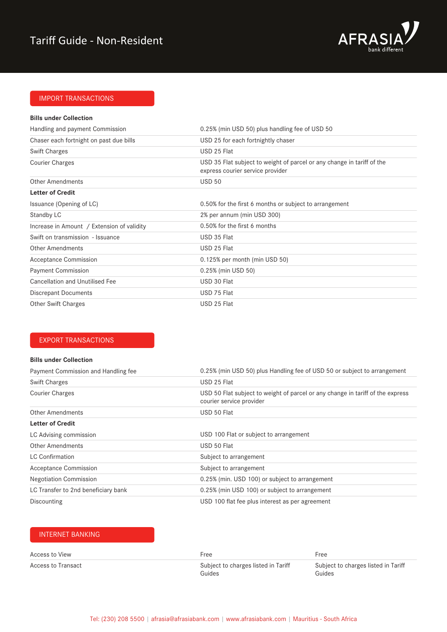

# IMPORT TRANSACTIONS

#### **Bills under Collection**

| Handling and payment Commission            | 0.25% (min USD 50) plus handling fee of USD 50                                                             |
|--------------------------------------------|------------------------------------------------------------------------------------------------------------|
| Chaser each fortnight on past due bills    | USD 25 for each fortnightly chaser                                                                         |
| <b>Swift Charges</b>                       | USD 25 Flat                                                                                                |
| <b>Courier Charges</b>                     | USD 35 Flat subject to weight of parcel or any change in tariff of the<br>express courier service provider |
| <b>Other Amendments</b>                    | <b>USD 50</b>                                                                                              |
| <b>Letter of Credit</b>                    |                                                                                                            |
| Issuance (Opening of LC)                   | 0.50% for the first 6 months or subject to arrangement                                                     |
| Standby LC                                 | 2% per annum (min USD 300)                                                                                 |
| Increase in Amount / Extension of validity | 0.50% for the first 6 months                                                                               |
| Swift on transmission - Issuance           | USD 35 Flat                                                                                                |
| Other Amendments                           | USD 25 Flat                                                                                                |
| <b>Acceptance Commission</b>               | 0.125% per month (min USD 50)                                                                              |
| <b>Payment Commission</b>                  | 0.25% (min USD 50)                                                                                         |
| <b>Cancellation and Unutilised Fee</b>     | USD 30 Flat                                                                                                |
| Discrepant Documents                       | USD 75 Flat                                                                                                |
| <b>Other Swift Charges</b>                 | USD 25 Flat                                                                                                |

#### EXPORT TRANSACTIONS

#### **Bills under Collection**

| Payment Commission and Handling fee | 0.25% (min USD 50) plus Handling fee of USD 50 or subject to arrangement                                   |
|-------------------------------------|------------------------------------------------------------------------------------------------------------|
| <b>Swift Charges</b>                | USD 25 Flat                                                                                                |
| <b>Courier Charges</b>              | USD 50 Flat subject to weight of parcel or any change in tariff of the express<br>courier service provider |
| <b>Other Amendments</b>             | USD 50 Flat                                                                                                |
| <b>Letter of Credit</b>             |                                                                                                            |
| LC Advising commission              | USD 100 Flat or subject to arrangement                                                                     |
| Other Amendments                    | USD 50 Flat                                                                                                |
| <b>LC Confirmation</b>              | Subject to arrangement                                                                                     |
| <b>Acceptance Commission</b>        | Subject to arrangement                                                                                     |
| <b>Negotiation Commission</b>       | 0.25% (min. USD 100) or subject to arrangement                                                             |
| LC Transfer to 2nd beneficiary bank | 0.25% (min USD 100) or subject to arrangement                                                              |
| Discounting                         | USD 100 flat fee plus interest as per agreement                                                            |

#### INTERNET BANKING

| Access to View     | Free                                | Free                                |
|--------------------|-------------------------------------|-------------------------------------|
| Access to Transact | Subject to charges listed in Tariff | Subject to charges listed in Tariff |
|                    | Guides                              | Guides                              |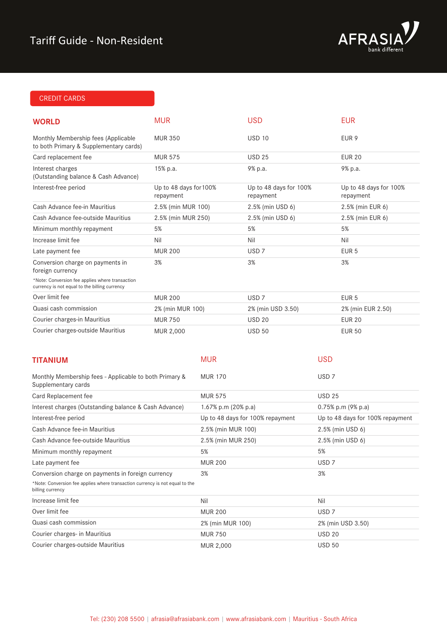

# CREDIT CARDS

| <b>WORLD</b>                                                                                            | <b>MUR</b>                          |                     | <b>USD</b>                          |                  | <b>EUR</b>                          |
|---------------------------------------------------------------------------------------------------------|-------------------------------------|---------------------|-------------------------------------|------------------|-------------------------------------|
| Monthly Membership fees (Applicable<br>to both Primary & Supplementary cards)                           | <b>MUR 350</b>                      |                     | <b>USD 10</b>                       |                  | EUR <sub>9</sub>                    |
| Card replacement fee                                                                                    | <b>MUR 575</b>                      |                     | <b>USD 25</b>                       |                  | <b>EUR 20</b>                       |
| Interest charges<br>(Outstanding balance & Cash Advance)                                                | 15% p.a.                            |                     | 9% p.a.                             |                  | 9% p.a.                             |
| Interest-free period                                                                                    | Up to 48 days for 100%<br>repayment |                     | Up to 48 days for 100%<br>repayment |                  | Up to 48 days for 100%<br>repayment |
| Cash Advance fee-in Mauritius                                                                           | 2.5% (min MUR 100)                  |                     | 2.5% (min USD 6)                    |                  | 2.5% (min EUR 6)                    |
| Cash Advance fee-outside Mauritius                                                                      | 2.5% (min MUR 250)                  |                     | 2.5% (min USD 6)                    |                  | 2.5% (min EUR 6)                    |
| Minimum monthly repayment                                                                               | 5%                                  |                     | 5%                                  |                  | 5%                                  |
| Increase limit fee                                                                                      | Nil                                 |                     | Nil                                 |                  | Nil                                 |
| Late payment fee                                                                                        | <b>MUR 200</b>                      |                     | USD <sub>7</sub>                    |                  | EUR <sub>5</sub>                    |
| Conversion charge on payments in<br>foreign currency<br>*Note: Conversion fee applies where transaction | 3%                                  |                     | 3%                                  |                  | 3%                                  |
| currency is not equal to the billing currency                                                           |                                     |                     |                                     |                  |                                     |
| Over limit fee                                                                                          | <b>MUR 200</b>                      |                     | USD <sub>7</sub>                    |                  | EUR <sub>5</sub>                    |
| Quasi cash commission                                                                                   | 2% (min MUR 100)                    |                     | 2% (min USD 3.50)                   |                  | 2% (min EUR 2.50)                   |
| Courier charges-in Mauritius                                                                            | <b>MUR 750</b>                      |                     | <b>USD 20</b>                       |                  | <b>EUR 20</b>                       |
| Courier charges-outside Mauritius                                                                       | MUR 2,000                           |                     | <b>USD 50</b>                       |                  | <b>EUR 50</b>                       |
| <b>TITANIUM</b>                                                                                         |                                     | <b>MUR</b>          |                                     | <b>USD</b>       |                                     |
| Monthly Membership fees - Applicable to both Primary &<br>Supplementary cards                           |                                     | <b>MUR 170</b>      |                                     | USD <sub>7</sub> |                                     |
| Card Replacement fee                                                                                    |                                     | <b>MUR 575</b>      |                                     | <b>USD 25</b>    |                                     |
| Interest charges (Outstanding balance & Cash Advance)                                                   |                                     | 1.67% p.m (20% p.a) |                                     |                  | 0.75% p.m (9% p.a)                  |
| Interest-free period                                                                                    |                                     |                     | Up to 48 days for 100% repayment    |                  | Up to 48 days for 100% repayment    |
| Cash Advance fee-in Mauritius                                                                           |                                     | 2.5% (min MUR 100)  |                                     |                  | 2.5% (min USD 6)                    |
| Cash Advance fee-outside Mauritius                                                                      |                                     | 2.5% (min MUR 250)  |                                     |                  | 2.5% (min USD 6)                    |
| Minimum monthly repayment                                                                               |                                     | 5%                  |                                     | 5%               |                                     |
| Late payment fee                                                                                        |                                     | <b>MUR 200</b>      |                                     | USD <sub>7</sub> |                                     |
| Conversion charge on payments in foreign currency                                                       |                                     | 3%                  |                                     | 3%               |                                     |
| *Note: Conversion fee applies where transaction currency is not equal to the<br>billing currency        |                                     |                     |                                     |                  |                                     |
| Increase limit fee                                                                                      |                                     | Nil                 |                                     | Nil              |                                     |
| Over limit fee                                                                                          |                                     | <b>MUR 200</b>      |                                     | USD <sub>7</sub> |                                     |
| Quasi cash commission                                                                                   |                                     | 2% (min MUR 100)    |                                     |                  | 2% (min USD 3.50)                   |
| Courier charges- in Mauritius                                                                           |                                     | <b>MUR 750</b>      |                                     | <b>USD 20</b>    |                                     |
| Courier charges-outside Mauritius                                                                       |                                     | MUR 2,000           |                                     | <b>USD 50</b>    |                                     |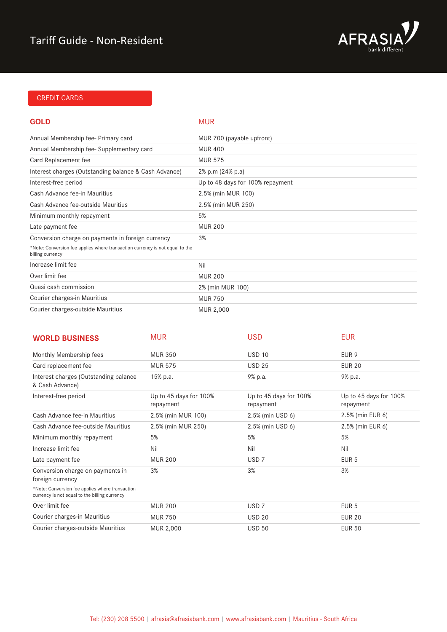

# CREDIT CARDS

#### **GOLD** MUR

| Annual Membership fee- Primary card                                                              | MUR 700 (payable upfront)        |
|--------------------------------------------------------------------------------------------------|----------------------------------|
| Annual Membership fee-Supplementary card                                                         | <b>MUR 400</b>                   |
| Card Replacement fee                                                                             | <b>MUR 575</b>                   |
| Interest charges (Outstanding balance & Cash Advance)                                            | 2% p.m (24% p.a)                 |
| Interest-free period                                                                             | Up to 48 days for 100% repayment |
| Cash Advance fee-in Mauritius                                                                    | 2.5% (min MUR 100)               |
| Cash Advance fee-outside Mauritius                                                               | 2.5% (min MUR 250)               |
| Minimum monthly repayment                                                                        | 5%                               |
| Late payment fee                                                                                 | <b>MUR 200</b>                   |
| Conversion charge on payments in foreign currency                                                | 3%                               |
| *Note: Conversion fee applies where transaction currency is not equal to the<br>billing currency |                                  |
| Increase limit fee                                                                               | Nil                              |
| Over limit fee                                                                                   | <b>MUR 200</b>                   |
| Quasi cash commission                                                                            | 2% (min MUR 100)                 |
| Courier charges-in Mauritius                                                                     | <b>MUR 750</b>                   |
| Courier charges-outside Mauritius                                                                | MUR 2,000                        |

| <b>WORLD BUSINESS</b>                                                                            | <b>MUR</b>                          | <b>USD</b>                          | <b>EUR</b>                          |
|--------------------------------------------------------------------------------------------------|-------------------------------------|-------------------------------------|-------------------------------------|
| Monthly Membership fees                                                                          | <b>MUR 350</b>                      | <b>USD 10</b>                       | EUR 9                               |
| Card replacement fee                                                                             | <b>MUR 575</b>                      | <b>USD 25</b>                       | <b>EUR 20</b>                       |
| Interest charges (Outstanding balance<br>& Cash Advance)                                         | 15% p.a.                            | 9% p.a.                             | 9% p.a.                             |
| Interest-free period                                                                             | Up to 45 days for 100%<br>repayment | Up to 45 days for 100%<br>repayment | Up to 45 days for 100%<br>repayment |
| Cash Advance fee-in Mauritius                                                                    | 2.5% (min MUR 100)                  | 2.5% (min USD 6)                    | 2.5% (min EUR 6)                    |
| Cash Advance fee-outside Mauritius                                                               | 2.5% (min MUR 250)                  | 2.5% (min USD 6)                    | 2.5% (min EUR 6)                    |
| Minimum monthly repayment                                                                        | 5%                                  | 5%                                  | 5%                                  |
| Increase limit fee                                                                               | Nil                                 | Nil                                 | Nil                                 |
| Late payment fee                                                                                 | <b>MUR 200</b>                      | USD <sub>7</sub>                    | EUR <sub>5</sub>                    |
| Conversion charge on payments in<br>foreign currency                                             | 3%                                  | 3%                                  | 3%                                  |
| *Note: Conversion fee applies where transaction<br>currency is not equal to the billing currency |                                     |                                     |                                     |
| Over limit fee                                                                                   | <b>MUR 200</b>                      | USD <sub>7</sub>                    | EUR <sub>5</sub>                    |
| Courier charges-in Mauritius                                                                     | <b>MUR 750</b>                      | <b>USD 20</b>                       | <b>EUR 20</b>                       |
| Courier charges-outside Mauritius                                                                | MUR 2,000                           | <b>USD 50</b>                       | <b>EUR 50</b>                       |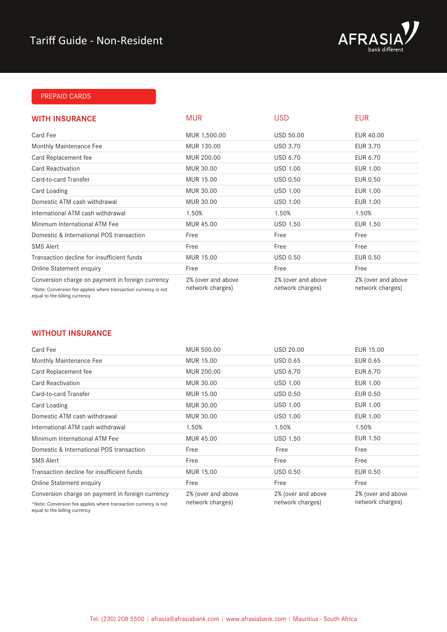

## PREPAID CARDS

| <b>WITH INSURANCE</b>                                                                                               | <b>MUR</b>                             | USD                                    | <b>EUR</b>                             |
|---------------------------------------------------------------------------------------------------------------------|----------------------------------------|----------------------------------------|----------------------------------------|
| Card Fee                                                                                                            | MUR 1,500.00                           | <b>USD 50.00</b>                       | EUR 40.00                              |
| Monthly Maintenance Fee                                                                                             | MUR 130.00                             | <b>USD 3.70</b>                        | EUR 3.70                               |
| Card Replacement fee                                                                                                | MUR 200.00                             | <b>USD 6.70</b>                        | EUR 6.70                               |
| <b>Card Reactivation</b>                                                                                            | MUR 30.00                              | <b>USD 1.00</b>                        | EUR 1.00                               |
| Card-to-card Transfer                                                                                               | MUR 15.00                              | <b>USD 0.50</b>                        | EUR 0.50                               |
| Card Loading                                                                                                        | MUR 30.00                              | <b>USD 1.00</b>                        | EUR 1.00                               |
| Domestic ATM cash withdrawal                                                                                        | MUR 30.00                              | <b>USD 1.00</b>                        | EUR 1.00                               |
| International ATM cash withdrawal                                                                                   | 1.50%                                  | 1.50%                                  | 1.50%                                  |
| Minimum International ATM Fee                                                                                       | MUR 45.00                              | <b>USD 1.50</b>                        | EUR 1.50                               |
| Domestic & International POS transaction                                                                            | Free                                   | Free                                   | Free                                   |
| <b>SMS Alert</b>                                                                                                    | Free                                   | Free                                   | Free                                   |
| Transaction decline for insufficient funds                                                                          | MUR 15.00                              | <b>USD 0.50</b>                        | EUR 0.50                               |
| Online Statement enquiry                                                                                            | Free                                   | Free                                   | Free                                   |
| Conversion charge on payment in foreign currency<br>*Note: Conversion fee applies where transaction currency is not | 2% (over and above<br>network charges) | 2% (over and above<br>network charges) | 2% (over and above<br>network charges) |

equal to the billing currency

### **WITHOUT INSURANCE**

| Card Fee                                                                                         | MUR 500.00         | <b>USD 20.00</b>   | EUR 15.00          |
|--------------------------------------------------------------------------------------------------|--------------------|--------------------|--------------------|
| Monthly Maintenance Fee                                                                          | MUR 15.00          | USD 0.65           | EUR 0.65           |
| Card Replacement fee                                                                             | MUR 200.00         | <b>USD 6.70</b>    | EUR 6.70           |
| <b>Card Reactivation</b>                                                                         | MUR 30.00          | USD 1.00           | EUR 1.00           |
| Card-to-card Transfer                                                                            | MUR 15.00          | <b>USD 0.50</b>    | EUR 0.50           |
| Card Loading                                                                                     | MUR 30.00          | <b>USD 1.00</b>    | EUR 1.00           |
| Domestic ATM cash withdrawal                                                                     | MUR 30.00          | <b>USD 1.00</b>    | EUR 1.00           |
| International ATM cash withdrawal                                                                | 1.50%              | 1.50%              | 1.50%              |
| Minimum International ATM Fee                                                                    | MUR 45.00          | <b>USD 1.50</b>    | EUR 1.50           |
| Domestic & International POS transaction                                                         | Free               | Free               | Free               |
| <b>SMS Alert</b>                                                                                 | Free               | Free               | Free               |
| Transaction decline for insufficient funds                                                       | MUR 15.00          | <b>USD 0.50</b>    | EUR 0.50           |
| Online Statement enquiry                                                                         | Free               | Free               | Free               |
| Conversion charge on payment in foreign currency                                                 | 2% (over and above | 2% (over and above | 2% (over and above |
| *Note: Conversion fee applies where transaction currency is not<br>equal to the billing currency | network charges)   | network charges)   | network charges)   |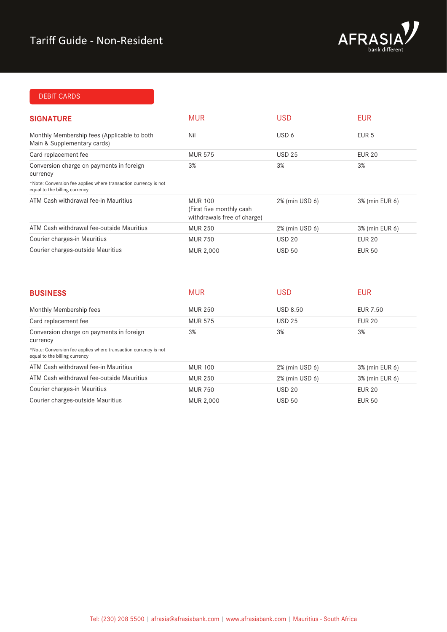

# DEBIT CARDS

| <b>SIGNATURE</b>                                                                                 | <b>MUR</b>                                                                 | <b>USD</b>     | <b>EUR</b>       |
|--------------------------------------------------------------------------------------------------|----------------------------------------------------------------------------|----------------|------------------|
| Monthly Membership fees (Applicable to both<br>Main & Supplementary cards)                       | Nil                                                                        | USD 6          | EUR <sub>5</sub> |
| Card replacement fee                                                                             | <b>MUR 575</b>                                                             | <b>USD 25</b>  | <b>EUR 20</b>    |
| Conversion charge on payments in foreign<br>currency                                             | 3%                                                                         | 3%             | 3%               |
| *Note: Conversion fee applies where transaction currency is not<br>equal to the billing currency |                                                                            |                |                  |
| ATM Cash withdrawal fee-in Mauritius                                                             | <b>MUR 100</b><br>(First five monthly cash)<br>withdrawals free of charge) | 2% (min USD 6) | 3% (min EUR 6)   |
| ATM Cash withdrawal fee-outside Mauritius                                                        | <b>MUR 250</b>                                                             | 2% (min USD 6) | 3% (min EUR 6)   |
| Courier charges-in Mauritius                                                                     | <b>MUR 750</b>                                                             | <b>USD 20</b>  | <b>EUR 20</b>    |
| Courier charges-outside Mauritius                                                                | MUR 2,000                                                                  | <b>USD 50</b>  | <b>EUR 50</b>    |

| <b>BUSINESS</b>                                                                                  | <b>MUR</b>     | <b>USD</b>      | <b>EUR</b>     |
|--------------------------------------------------------------------------------------------------|----------------|-----------------|----------------|
| Monthly Membership fees                                                                          | <b>MUR 250</b> | <b>USD 8.50</b> | EUR 7.50       |
| Card replacement fee                                                                             | <b>MUR 575</b> | <b>USD 25</b>   | <b>EUR 20</b>  |
| Conversion charge on payments in foreign<br>currency                                             | 3%             | 3%              | 3%             |
| *Note: Conversion fee applies where transaction currency is not<br>equal to the billing currency |                |                 |                |
| ATM Cash withdrawal fee-in Mauritius                                                             | <b>MUR 100</b> | 2% (min USD 6)  | 3% (min EUR 6) |
| ATM Cash withdrawal fee-outside Mauritius                                                        | <b>MUR 250</b> | 2% (min USD 6)  | 3% (min EUR 6) |
| Courier charges-in Mauritius                                                                     | <b>MUR 750</b> | <b>USD 20</b>   | <b>EUR 20</b>  |
| Courier charges-outside Mauritius                                                                | MUR 2,000      | <b>USD 50</b>   | <b>EUR 50</b>  |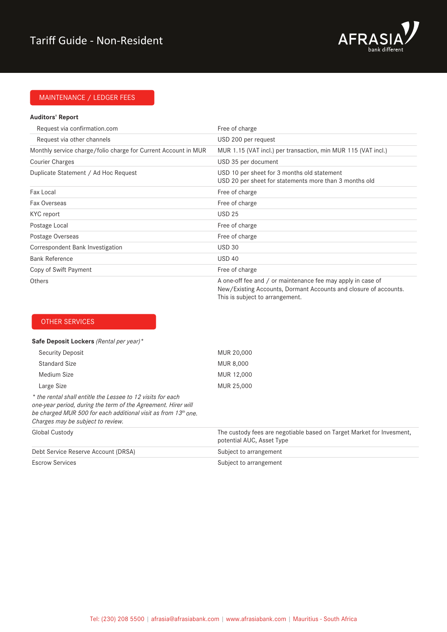

# MAINTENANCE / LEDGER FEES

#### **Auditors' Report**

| Request via confirmation.com                                   | Free of charge                                                                                                                                                     |
|----------------------------------------------------------------|--------------------------------------------------------------------------------------------------------------------------------------------------------------------|
| Request via other channels                                     | USD 200 per request                                                                                                                                                |
| Monthly service charge/folio charge for Current Account in MUR | MUR 1.15 (VAT incl.) per transaction, min MUR 115 (VAT incl.)                                                                                                      |
| <b>Courier Charges</b>                                         | USD 35 per document                                                                                                                                                |
| Duplicate Statement / Ad Hoc Request                           | USD 10 per sheet for 3 months old statement<br>USD 20 per sheet for statements more than 3 months old                                                              |
| Fax Local                                                      | Free of charge                                                                                                                                                     |
| Fax Overseas                                                   | Free of charge                                                                                                                                                     |
| KYC report                                                     | <b>USD 25</b>                                                                                                                                                      |
| Postage Local                                                  | Free of charge                                                                                                                                                     |
| Postage Overseas                                               | Free of charge                                                                                                                                                     |
| Correspondent Bank Investigation                               | <b>USD 30</b>                                                                                                                                                      |
| <b>Bank Reference</b>                                          | <b>USD 40</b>                                                                                                                                                      |
| Copy of Swift Payment                                          | Free of charge                                                                                                                                                     |
| <b>Others</b>                                                  | A one-off fee and / or maintenance fee may apply in case of<br>New/Existing Accounts, Dormant Accounts and closure of accounts.<br>This is subject to arrangement. |

## OTHER SERVICES

#### **Safe Deposit Lockers** *(Rental per year)\**

| Security Deposit                                                                                                                                                                                                                    | MUR 20,000                                                                                                     |
|-------------------------------------------------------------------------------------------------------------------------------------------------------------------------------------------------------------------------------------|----------------------------------------------------------------------------------------------------------------|
| Standard Size                                                                                                                                                                                                                       | MUR 8,000                                                                                                      |
| Medium Size                                                                                                                                                                                                                         | MUR 12,000                                                                                                     |
| Large Size                                                                                                                                                                                                                          | MUR 25,000                                                                                                     |
| * the rental shall entitle the Lessee to 12 visits for each<br>one-year period, during the term of the Agreement. Hirer will<br>be charged MUR 500 for each additional visit as from 13th one.<br>Charges may be subject to review. |                                                                                                                |
| Global Custody                                                                                                                                                                                                                      | The custody fees are negotiable based on Target Market for Invesment,<br>potential AUC, Asset Type             |
| Debt Service Reserve Account (DRSA)                                                                                                                                                                                                 | Subject to arrangement                                                                                         |
| Первозго Органдског                                                                                                                                                                                                                 | Outlet a substantial contractor of the contractor of the contractor of the contractor of the contractor of the |

Subject to arrangement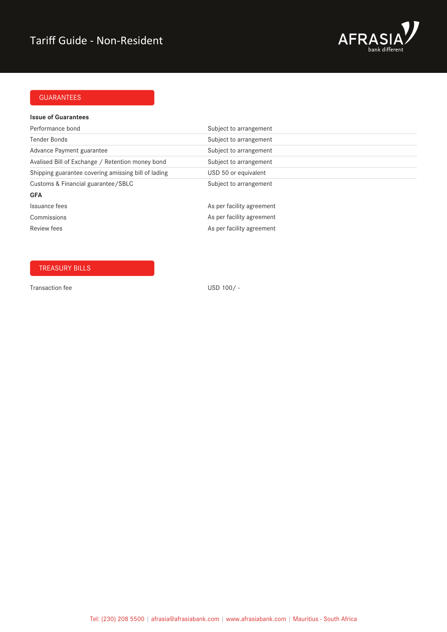

# GUARANTEES

#### **Issue of Guarantees**

| Performance bond                                    | Subject to arrangement    |
|-----------------------------------------------------|---------------------------|
| Tender Bonds                                        | Subject to arrangement    |
| Advance Payment guarantee                           | Subject to arrangement    |
| Avalised Bill of Exchange / Retention money bond    | Subject to arrangement    |
| Shipping guarantee covering amissing bill of lading | USD 50 or equivalent      |
| Customs & Financial guarantee/SBLC                  | Subject to arrangement    |
| <b>GFA</b>                                          |                           |
| Issuance fees                                       | As per facility agreement |
| Commissions                                         | As per facility agreement |
| <b>Review fees</b>                                  | As per facility agreement |

# TREASURY BILLS

Transaction fee USD 100/-